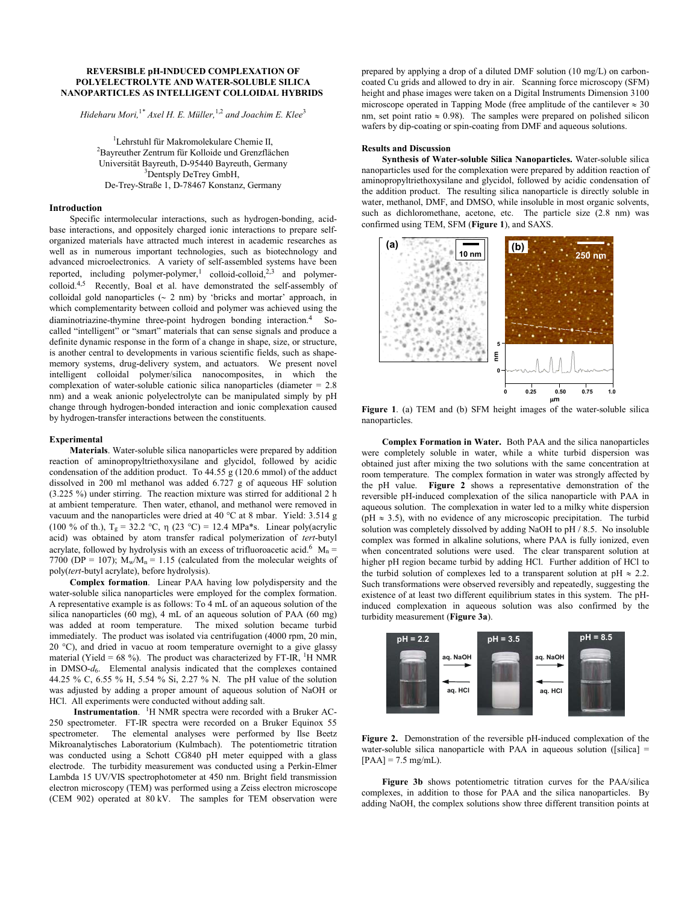## **REVERSIBLE pH-INDUCED COMPLEXATION OF POLYELECTROLYTE AND WATER-SOLUBLE SILICA NANOPARTICLES AS INTELLIGENT COLLOIDAL HYBRIDS**

*Hideharu Mori,*<sup>1</sup>*\* Axel H. E. Müller,*1,2 *and Joachim E. Klee*<sup>3</sup>

<sup>1</sup> Lehrstuhl für Makromolekulare Chemie II, Bayreuther Zentrum für Kolloide und Grenzflächen Universität Bayreuth, D-95440 Bayreuth, Germany <sup>3</sup> <sup>3</sup>Dentsply DeTrey GmbH, De-Trey-Straße 1, D-78467 Konstanz, Germany

## **Introduction**

Specific intermolecular interactions, such as hydrogen-bonding, acidbase interactions, and oppositely charged ionic interactions to prepare selforganized materials have attracted much interest in academic researches as well as in numerous important technologies, such as biotechnology and advanced microelectronics. A variety of self-assembled systems have been reported, including polymer-polymer,<sup>1</sup> colloid-colloid,<sup>2,3</sup> and polymercolloid.4,5 Recently, Boal et al. have demonstrated the self-assembly of colloidal gold nanoparticles  $(2 \text{ nm})$  by 'bricks and mortar' approach, in which complementarity between colloid and polymer was achieved using the diaminotriazine-thymine three-point hydrogen bonding interaction.<sup>4</sup> Socalled "intelligent" or "smart" materials that can sense signals and produce a definite dynamic response in the form of a change in shape, size, or structure, is another central to developments in various scientific fields, such as shapememory systems, drug-delivery system, and actuators. We present novel intelligent colloidal polymer/silica nanocomposites, in which the complexation of water-soluble cationic silica nanoparticles (diameter  $= 2.8$ ) nm) and a weak anionic polyelectrolyte can be manipulated simply by pH change through hydrogen-bonded interaction and ionic complexation caused by hydrogen-transfer interactions between the constituents.

## **Experimental**

**Materials**. Water-soluble silica nanoparticles were prepared by addition reaction of aminopropyltriethoxysilane and glycidol, followed by acidic condensation of the addition product. To 44.55 g (120.6 mmol) of the adduct dissolved in 200 ml methanol was added 6.727 g of aqueous HF solution (3.225 %) under stirring. The reaction mixture was stirred for additional 2 h at ambient temperature. Then water, ethanol, and methanol were removed in vacuum and the nanoparticles were dried at 40 °C at 8 mbar. Yield: 3.514 g (100 % of th.),  $T_g = 32.2 \text{ °C}$ ,  $\eta$  (23 °C) = 12.4 MPa<sup>\*</sup>s. Linear poly(acrylic acid) was obtained by atom transfer radical polymerization of *tert*-butyl acrylate, followed by hydrolysis with an excess of trifluoroacetic acid.<sup>6</sup>  $M_n =$ 7700 (DP = 107);  $M_w/M_n = 1.15$  (calculated from the molecular weights of poly(*tert*-butyl acrylate), before hydrolysis).

**Complex formation**. Linear PAA having low polydispersity and the water-soluble silica nanoparticles were employed for the complex formation. A representative example is as follows: To 4 mL of an aqueous solution of the silica nanoparticles (60 mg), 4 mL of an aqueous solution of PAA (60 mg) was added at room temperature. The mixed solution became turbid immediately. The product was isolated via centrifugation (4000 rpm, 20 min, 20 °C), and dried in vacuo at room temperature overnight to a give glassy material (Yield =  $68\%$ ). The product was characterized by FT-IR, <sup>1</sup>H NMR in DMSO-*d*6. Elemental analysis indicated that the complexes contained 44.25 % C, 6.55 % H, 5.54 % Si, 2.27 % N. The pH value of the solution was adjusted by adding a proper amount of aqueous solution of NaOH or HCl. All experiments were conducted without adding salt.

Instrumentation. <sup>1</sup>H NMR spectra were recorded with a Bruker AC-250 spectrometer. FT-IR spectra were recorded on a Bruker Equinox 55 spectrometer. The elemental analyses were performed by Ilse Beetz Mikroanalytisches Laboratorium (Kulmbach). The potentiometric titration was conducted using a Schott CG840 pH meter equipped with a glass electrode. The turbidity measurement was conducted using a Perkin-Elmer Lambda 15 UV/VIS spectrophotometer at 450 nm. Bright field transmission electron microscopy (TEM) was performed using a Zeiss electron microscope (CEM 902) operated at 80 kV. The samples for TEM observation were

prepared by applying a drop of a diluted DMF solution (10 mg/L) on carboncoated Cu grids and allowed to dry in air. Scanning force microscopy (SFM) height and phase images were taken on a Digital Instruments Dimension 3100 microscope operated in Tapping Mode (free amplitude of the cantilever  $\approx 30$ ) nm, set point ratio  $\approx 0.98$ ). The samples were prepared on polished silicon wafers by dip-coating or spin-coating from DMF and aqueous solutions.

#### **Results and Discussion**

**Synthesis of Water-soluble Silica Nanoparticles.** Water-soluble silica nanoparticles used for the complexation were prepared by addition reaction of aminopropyltriethoxysilane and glycidol, followed by acidic condensation of the addition product. The resulting silica nanoparticle is directly soluble in water, methanol, DMF, and DMSO, while insoluble in most organic solvents, such as dichloromethane, acetone, etc. The particle size (2.8 nm) was confirmed using TEM, SFM (**Figure 1**), and SAXS.



**Figure 1**. (a) TEM and (b) SFM height images of the water-soluble silica nanoparticles.

**Complex Formation in Water.** Both PAA and the silica nanoparticles were completely soluble in water, while a white turbid dispersion was obtained just after mixing the two solutions with the same concentration at room temperature. The complex formation in water was strongly affected by the pH value. **Figure 2** shows a representative demonstration of the reversible pH-induced complexation of the silica nanoparticle with PAA in aqueous solution. The complexation in water led to a milky white dispersion (pH  $\approx$  3.5), with no evidence of any microscopic precipitation. The turbid solution was completely dissolved by adding NaOH to  $pH / 8.5$ . No insoluble complex was formed in alkaline solutions, where PAA is fully ionized, even when concentrated solutions were used. The clear transparent solution at higher pH region became turbid by adding HCl. Further addition of HCl to the turbid solution of complexes led to a transparent solution at  $pH \approx 2.2$ . Such transformations were observed reversibly and repeatedly, suggesting the existence of at least two different equilibrium states in this system. The pHinduced complexation in aqueous solution was also confirmed by the turbidity measurement (**Figure 3a**).



**Figure 2.** Demonstration of the reversible pH-induced complexation of the water-soluble silica nanoparticle with PAA in aqueous solution ([silica]  $=$  $[PAA] = 7.5$  mg/mL).

**Figure 3b** shows potentiometric titration curves for the PAA/silica complexes, in addition to those for PAA and the silica nanoparticles. By adding NaOH, the complex solutions show three different transition points at